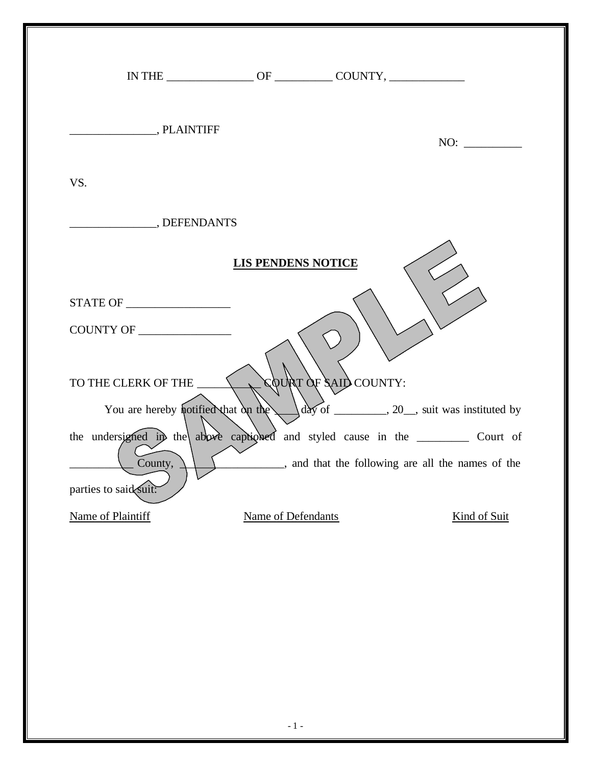|                                                                                    |                           | IN THE $\_\_\_\_$ OF $\_\_\_\_\_$ COUNTY, $\_\_\_\_\_\_\_\_$       |              |
|------------------------------------------------------------------------------------|---------------------------|--------------------------------------------------------------------|--------------|
| PLAINTIFF                                                                          |                           |                                                                    | NO:          |
| VS.                                                                                |                           |                                                                    |              |
| DEFENDANTS                                                                         |                           |                                                                    |              |
|                                                                                    | <b>LIS PENDENS NOTICE</b> |                                                                    |              |
|                                                                                    |                           |                                                                    |              |
| COUNTY OF                                                                          |                           |                                                                    |              |
| TO THE CLERK OF THE                                                                |                           | COURT OF SAID COUNTY:                                              |              |
| You are hereby notified that on the                                                |                           | $\frac{d^2y}{dx^2}$ of ____________, 20___, suit was instituted by |              |
| the undersigned in the above captioned and styled cause in the __________ Court of |                           |                                                                    |              |
| County, $\perp$<br>$\overline{\phantom{a}}$<br>✓<br>parties to said suit:          |                           |                                                                    |              |
| Name of Plaintiff                                                                  | Name of Defendants        |                                                                    | Kind of Suit |
|                                                                                    |                           |                                                                    |              |
|                                                                                    |                           |                                                                    |              |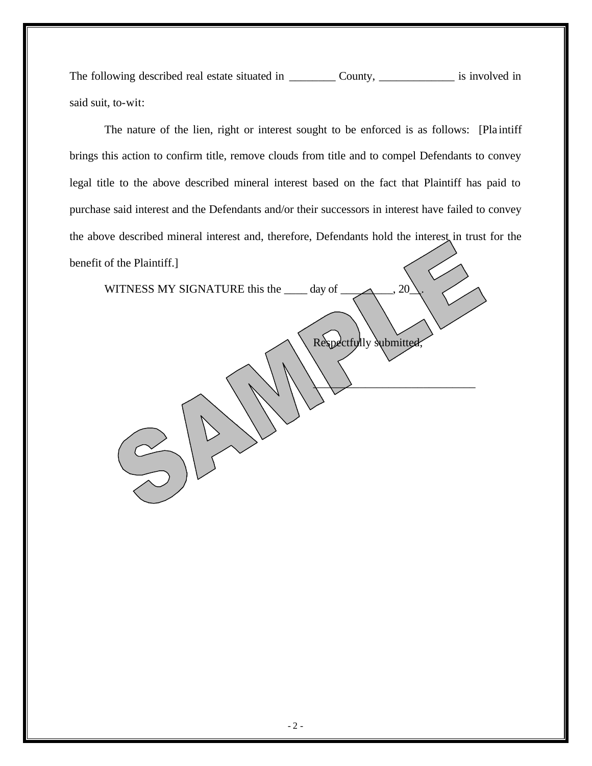The following described real estate situated in \_\_\_\_\_\_\_\_\_\_ County, \_\_\_\_\_\_\_\_\_\_\_\_\_\_ is involved in said suit, to-wit:

The nature of the lien, right or interest sought to be enforced is as follows: [Plaintiff] brings this action to confirm title, remove clouds from title and to compel Defendants to convey legal title to the above described mineral interest based on the fact that Plaintiff has paid to purchase said interest and the Defendants and/or their successors in interest have failed to convey the above described mineral interest and, therefore, Defendants hold the interest in trust for the benefit of the Plaintiff.]

WITNESS MY SIGNATURE this the  $\rule{1em}{0.15mm}$  day of  $\rule{1em}{0.15mm}$ , 20

Respectfully submitted,

 $\overline{\phantom{a}}$